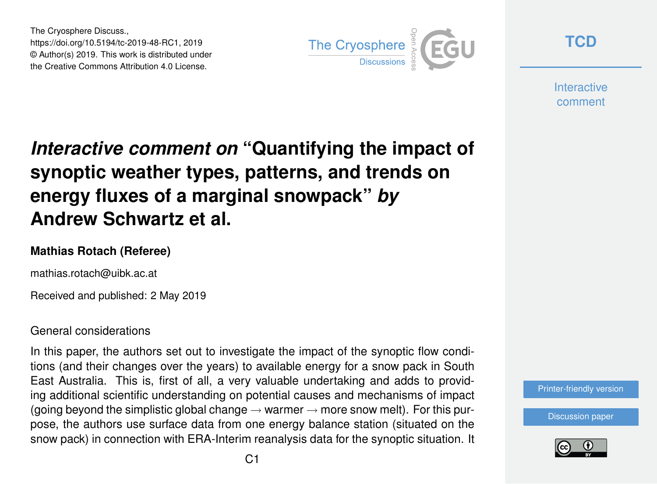The Cryosphere Discuss., https://doi.org/10.5194/tc-2019-48-RC1, 2019 © Author(s) 2019. This work is distributed under the Creative Commons Attribution 4.0 License.



**[TCD](https://www.the-cryosphere-discuss.net/)**

**Interactive** comment

# *Interactive comment on* **"Quantifying the impact of synoptic weather types, patterns, and trends on energy fluxes of a marginal snowpack"** *by* **Andrew Schwartz et al.**

### **Mathias Rotach (Referee)**

mathias.rotach@uibk.ac.at

Received and published: 2 May 2019

#### General considerations

In this paper, the authors set out to investigate the impact of the synoptic flow conditions (and their changes over the years) to available energy for a snow pack in South East Australia. This is, first of all, a very valuable undertaking and adds to providing additional scientific understanding on potential causes and mechanisms of impact (going beyond the simplistic global change  $\rightarrow$  warmer  $\rightarrow$  more snow melt). For this purpose, the authors use surface data from one energy balance station (situated on the snow pack) in connection with ERA-Interim reanalysis data for the synoptic situation. It



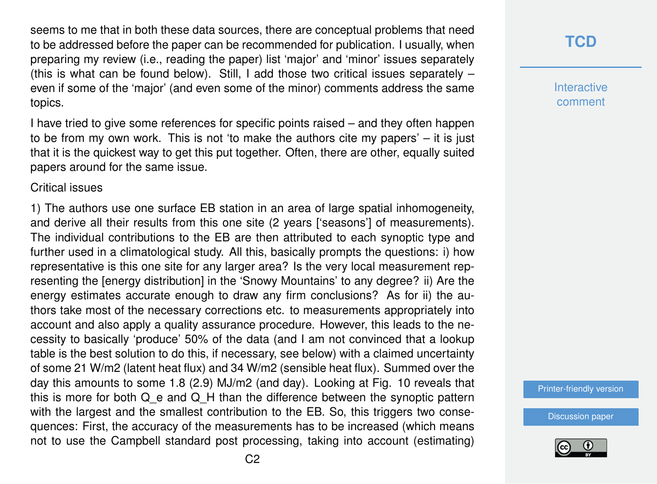seems to me that in both these data sources, there are conceptual problems that need to be addressed before the paper can be recommended for publication. I usually, when preparing my review (i.e., reading the paper) list 'major' and 'minor' issues separately (this is what can be found below). Still, I add those two critical issues separately  $$ even if some of the 'major' (and even some of the minor) comments address the same topics.

I have tried to give some references for specific points raised – and they often happen to be from my own work. This is not 'to make the authors cite my papers' – it is just that it is the quickest way to get this put together. Often, there are other, equally suited papers around for the same issue.

#### Critical issues

1) The authors use one surface EB station in an area of large spatial inhomogeneity, and derive all their results from this one site (2 years ['seasons'] of measurements). The individual contributions to the EB are then attributed to each synoptic type and further used in a climatological study. All this, basically prompts the questions: i) how representative is this one site for any larger area? Is the very local measurement representing the [energy distribution] in the 'Snowy Mountains' to any degree? ii) Are the energy estimates accurate enough to draw any firm conclusions? As for ii) the authors take most of the necessary corrections etc. to measurements appropriately into account and also apply a quality assurance procedure. However, this leads to the necessity to basically 'produce' 50% of the data (and I am not convinced that a lookup table is the best solution to do this, if necessary, see below) with a claimed uncertainty of some 21 W/m2 (latent heat flux) and 34 W/m2 (sensible heat flux). Summed over the day this amounts to some 1.8 (2.9) MJ/m2 (and day). Looking at Fig. 10 reveals that this is more for both  $Q$  e and  $Q$  H than the difference between the synoptic pattern with the largest and the smallest contribution to the EB. So, this triggers two consequences: First, the accuracy of the measurements has to be increased (which means not to use the Campbell standard post processing, taking into account (estimating)

## **[TCD](https://www.the-cryosphere-discuss.net/)**

**Interactive** comment

[Printer-friendly version](https://www.the-cryosphere-discuss.net/tc-2019-48/tc-2019-48-RC1-print.pdf)

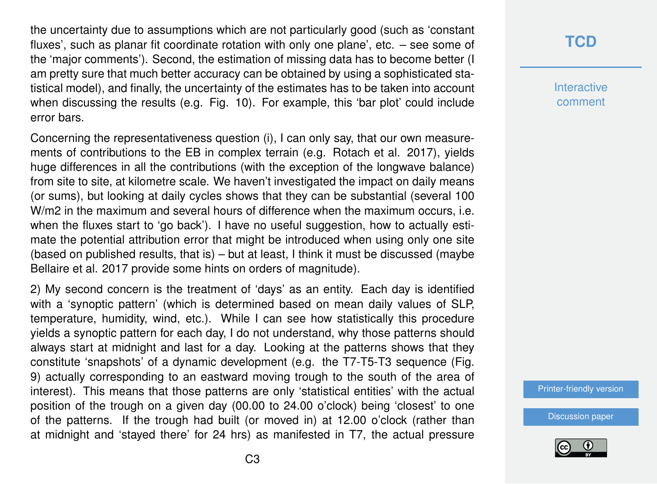the uncertainty due to assumptions which are not particularly good (such as 'constant fluxes', such as planar fit coordinate rotation with only one plane', etc. – see some of the 'major comments'). Second, the estimation of missing data has to become better (I am pretty sure that much better accuracy can be obtained by using a sophisticated statistical model), and finally, the uncertainty of the estimates has to be taken into account when discussing the results (e.g. Fig. 10). For example, this 'bar plot' could include error bars.

Concerning the representativeness question (i), I can only say, that our own measurements of contributions to the EB in complex terrain (e.g. Rotach et al. 2017), yields huge differences in all the contributions (with the exception of the longwave balance) from site to site, at kilometre scale. We haven't investigated the impact on daily means (or sums), but looking at daily cycles shows that they can be substantial (several 100 W/m2 in the maximum and several hours of difference when the maximum occurs, i.e. when the fluxes start to 'go back'). I have no useful suggestion, how to actually estimate the potential attribution error that might be introduced when using only one site (based on published results, that is) – but at least, I think it must be discussed (maybe Bellaire et al. 2017 provide some hints on orders of magnitude).

2) My second concern is the treatment of 'days' as an entity. Each day is identified with a 'synoptic pattern' (which is determined based on mean daily values of SLP, temperature, humidity, wind, etc.). While I can see how statistically this procedure yields a synoptic pattern for each day, I do not understand, why those patterns should always start at midnight and last for a day. Looking at the patterns shows that they constitute 'snapshots' of a dynamic development (e.g. the T7-T5-T3 sequence (Fig. 9) actually corresponding to an eastward moving trough to the south of the area of interest). This means that those patterns are only 'statistical entities' with the actual position of the trough on a given day (00.00 to 24.00 o'clock) being 'closest' to one of the patterns. If the trough had built (or moved in) at 12.00 o'clock (rather than at midnight and 'stayed there' for 24 hrs) as manifested in T7, the actual pressure

# **[TCD](https://www.the-cryosphere-discuss.net/)**

**Interactive** comment

[Printer-friendly version](https://www.the-cryosphere-discuss.net/tc-2019-48/tc-2019-48-RC1-print.pdf)

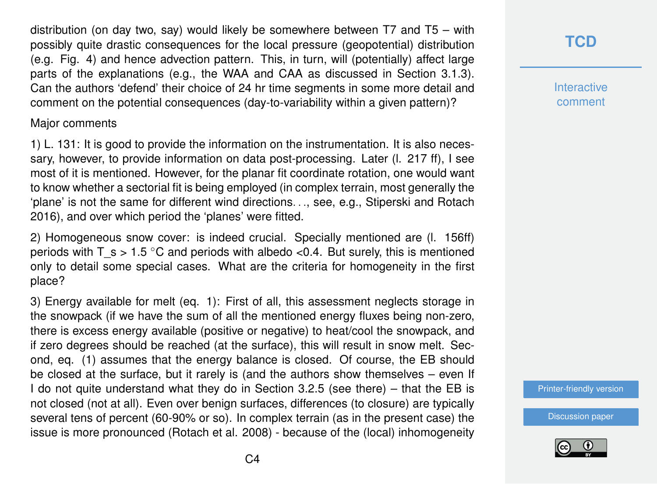distribution (on day two, say) would likely be somewhere between T7 and T5 – with possibly quite drastic consequences for the local pressure (geopotential) distribution (e.g. Fig. 4) and hence advection pattern. This, in turn, will (potentially) affect large parts of the explanations (e.g., the WAA and CAA as discussed in Section 3.1.3). Can the authors 'defend' their choice of 24 hr time segments in some more detail and comment on the potential consequences (day-to-variability within a given pattern)?

#### Major comments

1) L. 131: It is good to provide the information on the instrumentation. It is also necessary, however, to provide information on data post-processing. Later (l. 217 ff), I see most of it is mentioned. However, for the planar fit coordinate rotation, one would want to know whether a sectorial fit is being employed (in complex terrain, most generally the 'plane' is not the same for different wind directions. . ., see, e.g., Stiperski and Rotach 2016), and over which period the 'planes' were fitted.

2) Homogeneous snow cover: is indeed crucial. Specially mentioned are (l. 156ff) periods with  $T_s > 1.5$  °C and periods with albedo <0.4. But surely, this is mentioned only to detail some special cases. What are the criteria for homogeneity in the first place?

3) Energy available for melt (eq. 1): First of all, this assessment neglects storage in the snowpack (if we have the sum of all the mentioned energy fluxes being non-zero, there is excess energy available (positive or negative) to heat/cool the snowpack, and if zero degrees should be reached (at the surface), this will result in snow melt. Second, eq. (1) assumes that the energy balance is closed. Of course, the EB should be closed at the surface, but it rarely is (and the authors show themselves – even If I do not quite understand what they do in Section 3.2.5 (see there) – that the EB is not closed (not at all). Even over benign surfaces, differences (to closure) are typically several tens of percent (60-90% or so). In complex terrain (as in the present case) the issue is more pronounced (Rotach et al. 2008) - because of the (local) inhomogeneity

# **[TCD](https://www.the-cryosphere-discuss.net/)**

**Interactive** comment

[Printer-friendly version](https://www.the-cryosphere-discuss.net/tc-2019-48/tc-2019-48-RC1-print.pdf)

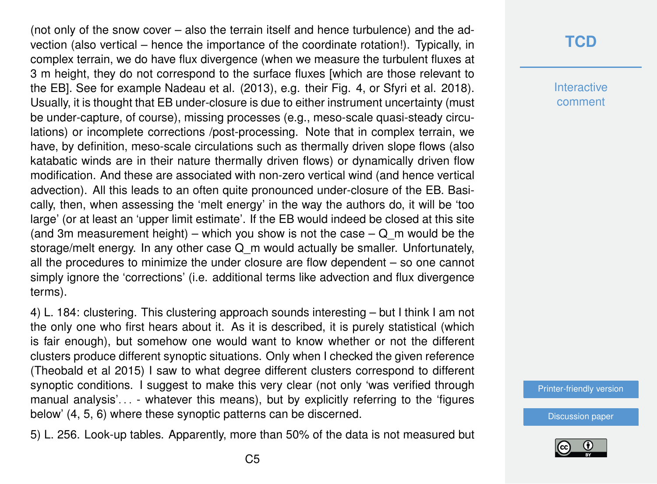(not only of the snow cover – also the terrain itself and hence turbulence) and the advection (also vertical – hence the importance of the coordinate rotation!). Typically, in complex terrain, we do have flux divergence (when we measure the turbulent fluxes at 3 m height, they do not correspond to the surface fluxes [which are those relevant to the EB]. See for example Nadeau et al. (2013), e.g. their Fig. 4, or Sfyri et al. 2018). Usually, it is thought that EB under-closure is due to either instrument uncertainty (must be under-capture, of course), missing processes (e.g., meso-scale quasi-steady circulations) or incomplete corrections /post-processing. Note that in complex terrain, we have, by definition, meso-scale circulations such as thermally driven slope flows (also katabatic winds are in their nature thermally driven flows) or dynamically driven flow modification. And these are associated with non-zero vertical wind (and hence vertical advection). All this leads to an often quite pronounced under-closure of the EB. Basically, then, when assessing the 'melt energy' in the way the authors do, it will be 'too large' (or at least an 'upper limit estimate'. If the EB would indeed be closed at this site (and 3m measurement height) – which you show is not the case  $-Q$  m would be the storage/melt energy. In any other case Q m would actually be smaller. Unfortunately, all the procedures to minimize the under closure are flow dependent – so one cannot simply ignore the 'corrections' (i.e. additional terms like advection and flux divergence terms).

4) L. 184: clustering. This clustering approach sounds interesting – but I think I am not the only one who first hears about it. As it is described, it is purely statistical (which is fair enough), but somehow one would want to know whether or not the different clusters produce different synoptic situations. Only when I checked the given reference (Theobald et al 2015) I saw to what degree different clusters correspond to different synoptic conditions. I suggest to make this very clear (not only 'was verified through manual analysis'. . . - whatever this means), but by explicitly referring to the 'figures below' (4, 5, 6) where these synoptic patterns can be discerned.

5) L. 256. Look-up tables. Apparently, more than 50% of the data is not measured but

## **[TCD](https://www.the-cryosphere-discuss.net/)**

**Interactive** comment

[Printer-friendly version](https://www.the-cryosphere-discuss.net/tc-2019-48/tc-2019-48-RC1-print.pdf)

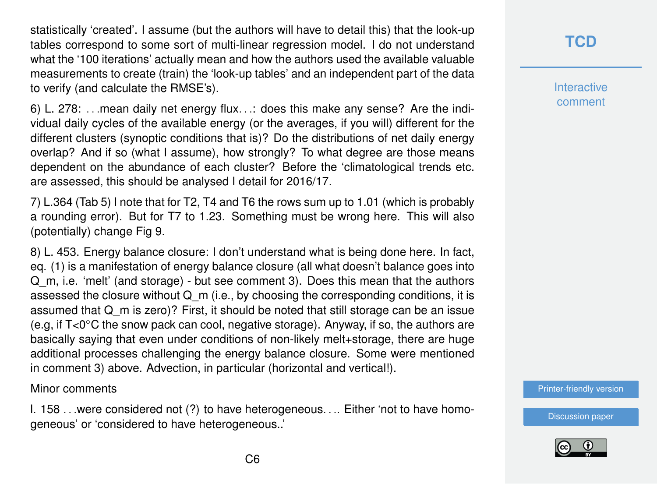statistically 'created'. I assume (but the authors will have to detail this) that the look-up tables correspond to some sort of multi-linear regression model. I do not understand what the '100 iterations' actually mean and how the authors used the available valuable measurements to create (train) the 'look-up tables' and an independent part of the data to verify (and calculate the RMSE's).

6) L. 278: . . .mean daily net energy flux. . .: does this make any sense? Are the individual daily cycles of the available energy (or the averages, if you will) different for the different clusters (synoptic conditions that is)? Do the distributions of net daily energy overlap? And if so (what I assume), how strongly? To what degree are those means dependent on the abundance of each cluster? Before the 'climatological trends etc. are assessed, this should be analysed I detail for 2016/17.

7) L.364 (Tab 5) I note that for T2, T4 and T6 the rows sum up to 1.01 (which is probably a rounding error). But for T7 to 1.23. Something must be wrong here. This will also (potentially) change Fig 9.

8) L. 453. Energy balance closure: I don't understand what is being done here. In fact, eq. (1) is a manifestation of energy balance closure (all what doesn't balance goes into Q\_m, i.e. 'melt' (and storage) - but see comment 3). Does this mean that the authors assessed the closure without  $Q_m$  (i.e., by choosing the corresponding conditions, it is assumed that Q\_m is zero)? First, it should be noted that still storage can be an issue (e.g. if  $T<0^\circ$ C the snow pack can cool, negative storage). Anyway, if so, the authors are basically saying that even under conditions of non-likely melt+storage, there are huge additional processes challenging the energy balance closure. Some were mentioned in comment 3) above. Advection, in particular (horizontal and vertical!).

#### Minor comments

l. 158 . . .were considered not (?) to have heterogeneous. . .. Either 'not to have homogeneous' or 'considered to have heterogeneous..'

# **[TCD](https://www.the-cryosphere-discuss.net/)**

**Interactive** comment

[Printer-friendly version](https://www.the-cryosphere-discuss.net/tc-2019-48/tc-2019-48-RC1-print.pdf)

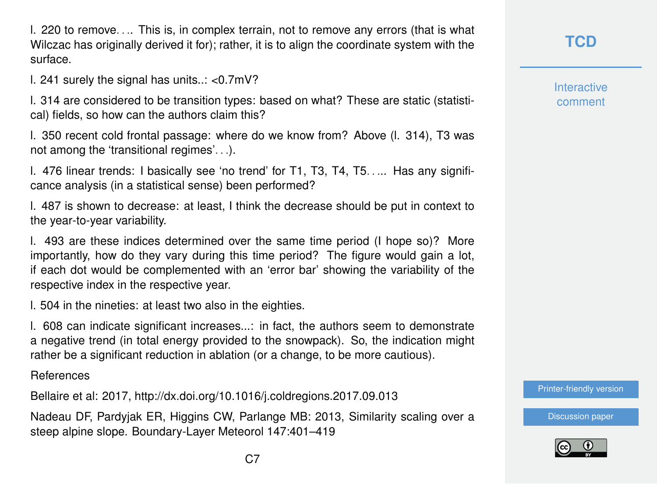l. 220 to remove. . .. This is, in complex terrain, not to remove any errors (that is what Wilczac has originally derived it for); rather, it is to align the coordinate system with the surface.

l. 241 surely the signal has units..: <0.7mV?

l. 314 are considered to be transition types: based on what? These are static (statistical) fields, so how can the authors claim this?

l. 350 recent cold frontal passage: where do we know from? Above (l. 314), T3 was not among the 'transitional regimes'. . .).

l. 476 linear trends: I basically see 'no trend' for T1, T3, T4, T5. . ... Has any significance analysis (in a statistical sense) been performed?

l. 487 is shown to decrease: at least, I think the decrease should be put in context to the year-to-year variability.

l. 493 are these indices determined over the same time period (I hope so)? More importantly, how do they vary during this time period? The figure would gain a lot, if each dot would be complemented with an 'error bar' showing the variability of the respective index in the respective year.

l. 504 in the nineties: at least two also in the eighties.

l. 608 can indicate significant increases...: in fact, the authors seem to demonstrate a negative trend (in total energy provided to the snowpack). So, the indication might rather be a significant reduction in ablation (or a change, to be more cautious).

References

Bellaire et al: 2017, http://dx.doi.org/10.1016/j.coldregions.2017.09.013

Nadeau DF, Pardyjak ER, Higgins CW, Parlange MB: 2013, Similarity scaling over a steep alpine slope. Boundary-Layer Meteorol 147:401–419

**Interactive** comment

[Printer-friendly version](https://www.the-cryosphere-discuss.net/tc-2019-48/tc-2019-48-RC1-print.pdf)